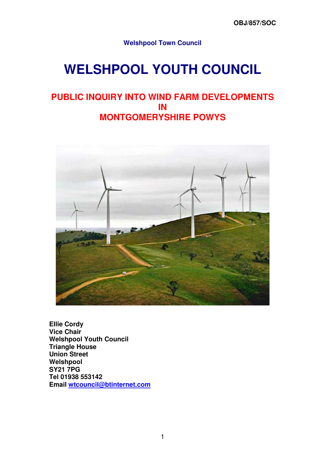**Welshpool Town Council** 

# **WELSHPOOL YOUTH COUNCIL**

## **PUBLIC INQUIRY INTO WIND FARM DEVELOPMENTS IN MONTGOMERYSHIRE POWYS**



**Ellie Cordy Vice Chair Welshpool Youth Council Triangle House Union Street Welshpool SY21 7PG Tel 01938 553142 Email wtcouncil@btinternet.com**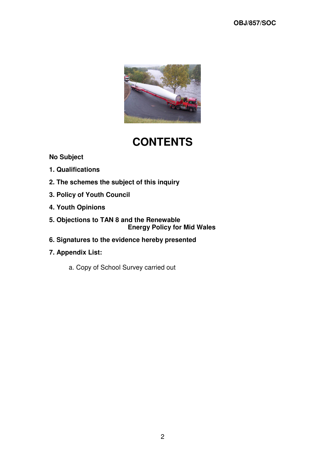

## **CONTENTS**

## **No Subject**

- **1. Qualifications**
- **2. The schemes the subject of this inquiry**
- **3. Policy of Youth Council**
- **4. Youth Opinions**
- **5. Objections to TAN 8 and the Renewable Energy Policy for Mid Wales**
- **6. Signatures to the evidence hereby presented**
- **7. Appendix List:** 
	- a. Copy of School Survey carried out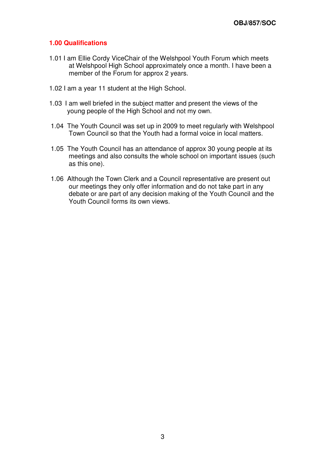#### **1.00 Qualifications**

- 1.01 I am Ellie Cordy ViceChair of the Welshpool Youth Forum which meets at Welshpool High School approximately once a month. I have been a member of the Forum for approx 2 years.
- 1.02 I am a year 11 student at the High School.
- 1.03 I am well briefed in the subject matter and present the views of the young people of the High School and not my own.
- 1.04 The Youth Council was set up in 2009 to meet regularly with Welshpool Town Council so that the Youth had a formal voice in local matters.
- 1.05 The Youth Council has an attendance of approx 30 young people at its meetings and also consults the whole school on important issues (such as this one).
- 1.06 Although the Town Clerk and a Council representative are present out our meetings they only offer information and do not take part in any debate or are part of any decision making of the Youth Council and the Youth Council forms its own views.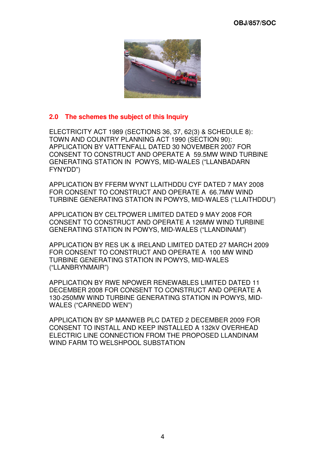

## **2.0 The schemes the subject of this Inquiry**

ELECTRICITY ACT 1989 (SECTIONS 36, 37, 62(3) & SCHEDULE 8): TOWN AND COUNTRY PLANNING ACT 1990 (SECTION 90): APPLICATION BY VATTENFALL DATED 30 NOVEMBER 2007 FOR CONSENT TO CONSTRUCT AND OPERATE A 59.5MW WIND TURBINE GENERATING STATION IN POWYS, MID-WALES ("LLANBADARN FYNYDD")

APPLICATION BY FFERM WYNT LLAITHDDU CYF DATED 7 MAY 2008 FOR CONSENT TO CONSTRUCT AND OPERATE A 66.7MW WIND TURBINE GENERATING STATION IN POWYS, MID-WALES ("LLAITHDDU")

APPLICATION BY CELTPOWER LIMITED DATED 9 MAY 2008 FOR CONSENT TO CONSTRUCT AND OPERATE A 126MW WIND TURBINE GENERATING STATION IN POWYS, MID-WALES ("LLANDINAM")

APPLICATION BY RES UK & IRELAND LIMITED DATED 27 MARCH 2009 FOR CONSENT TO CONSTRUCT AND OPERATE A 100 MW WIND TURBINE GENERATING STATION IN POWYS, MID-WALES ("LLANBRYNMAIR")

APPLICATION BY RWE NPOWER RENEWABLES LIMITED DATED 11 DECEMBER 2008 FOR CONSENT TO CONSTRUCT AND OPERATE A 130-250MW WIND TURBINE GENERATING STATION IN POWYS, MID-WALES ("CARNEDD WEN")

APPLICATION BY SP MANWEB PLC DATED 2 DECEMBER 2009 FOR CONSENT TO INSTALL AND KEEP INSTALLED A 132kV OVERHEAD ELECTRIC LINE CONNECTION FROM THE PROPOSED LLANDINAM WIND FARM TO WELSHPOOL SUBSTATION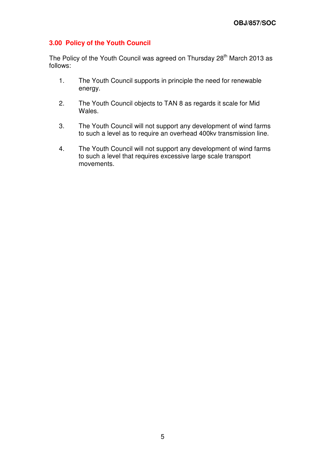## **3.00 Policy of the Youth Council**

The Policy of the Youth Council was agreed on Thursday 28<sup>th</sup> March 2013 as follows:

- 1. The Youth Council supports in principle the need for renewable energy.
- 2. The Youth Council objects to TAN 8 as regards it scale for Mid Wales.
- 3. The Youth Council will not support any development of wind farms to such a level as to require an overhead 400kv transmission line.
- 4. The Youth Council will not support any development of wind farms to such a level that requires excessive large scale transport movements.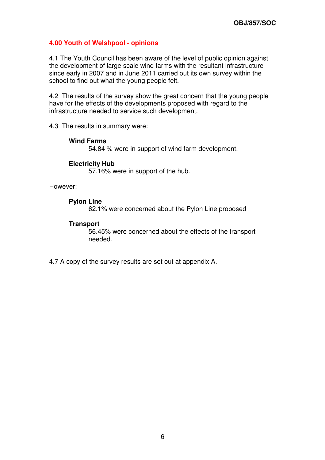#### **4.00 Youth of Welshpool - opinions**

4.1 The Youth Council has been aware of the level of public opinion against the development of large scale wind farms with the resultant infrastructure since early in 2007 and in June 2011 carried out its own survey within the school to find out what the young people felt.

4.2 The results of the survey show the great concern that the young people have for the effects of the developments proposed with regard to the infrastructure needed to service such development.

4.3 The results in summary were:

#### **Wind Farms**

54.84 % were in support of wind farm development.

#### **Electricity Hub**

57.16% were in support of the hub.

However:

#### **Pylon Line**

62.1% were concerned about the Pylon Line proposed

#### **Transport**

56.45% were concerned about the effects of the transport needed.

4.7 A copy of the survey results are set out at appendix A.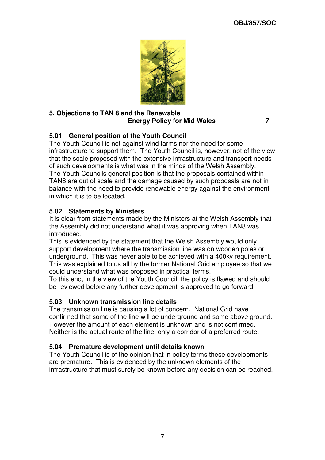

#### **5. Objections to TAN 8 and the Renewable Energy Policy for Mid Wales 7**

## **5.01 General position of the Youth Council**

The Youth Council is not against wind farms nor the need for some infrastructure to support them. The Youth Council is, however, not of the view that the scale proposed with the extensive infrastructure and transport needs of such developments is what was in the minds of the Welsh Assembly. The Youth Councils general position is that the proposals contained within TAN8 are out of scale and the damage caused by such proposals are not in balance with the need to provide renewable energy against the environment in which it is to be located.

## **5.02 Statements by Ministers**

It is clear from statements made by the Ministers at the Welsh Assembly that the Assembly did not understand what it was approving when TAN8 was introduced.

This is evidenced by the statement that the Welsh Assembly would only support development where the transmission line was on wooden poles or underground. This was never able to be achieved with a 400kv requirement. This was explained to us all by the former National Grid employee so that we could understand what was proposed in practical terms.

To this end, in the view of the Youth Council, the policy is flawed and should be reviewed before any further development is approved to go forward.

## **5.03 Unknown transmission line details**

The transmission line is causing a lot of concern. National Grid have confirmed that some of the line will be underground and some above ground. However the amount of each element is unknown and is not confirmed. Neither is the actual route of the line, only a corridor of a preferred route.

#### **5.04 Premature development until details known**

The Youth Council is of the opinion that in policy terms these developments are premature. This is evidenced by the unknown elements of the infrastructure that must surely be known before any decision can be reached.